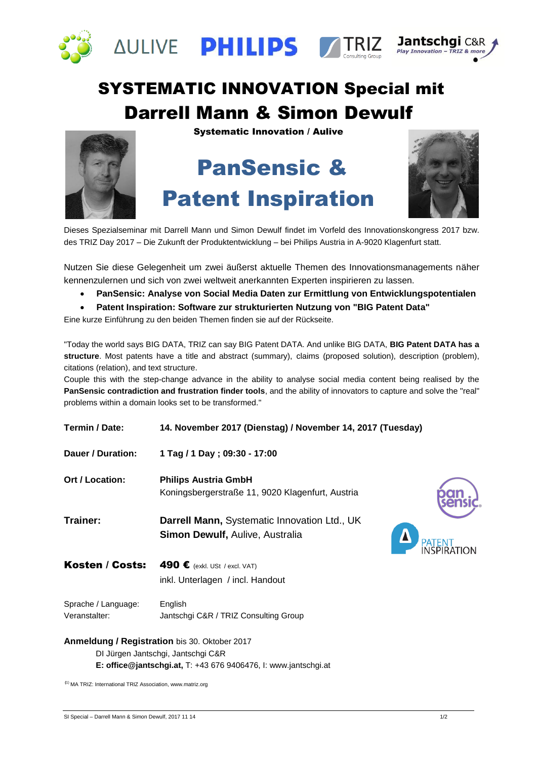

# SYSTEMATIC INNOVATION Special mit Darrell Mann & Simon Dewulf

Systematic Innovation / Aulive

# PanSensic & Patent Inspiration



Dieses Spezialseminar mit Darrell Mann und Simon Dewulf findet im Vorfeld des Innovationskongress 2017 bzw. des TRIZ Day 2017 – Die Zukunft der Produktentwicklung – bei Philips Austria in A-9020 Klagenfurt statt.

Nutzen Sie diese Gelegenheit um zwei äußerst aktuelle Themen des Innovationsmanagements näher kennenzulernen und sich von zwei weltweit anerkannten Experten inspirieren zu lassen.

- **PanSensic: Analyse von Social Media Daten zur Ermittlung von Entwicklungspotentialen**
- **Patent Inspiration: Software zur strukturierten Nutzung von "BIG Patent Data"**

Eine kurze Einführung zu den beiden Themen finden sie auf der Rückseite.

"Today the world says BIG DATA, TRIZ can say BIG Patent DATA. And unlike BIG DATA, **BIG Patent DATA has a structure**. Most patents have a title and abstract (summary), claims (proposed solution), description (problem), citations (relation), and text structure.

Couple this with the step-change advance in the ability to analyse social media content being realised by the **PanSensic contradiction and frustration finder tools**, and the ability of innovators to capture and solve the "real" problems within a domain looks set to be transformed."

| Termin / Date:                       | 14. November 2017 (Dienstag) / November 14, 2017 (Tuesday)                             |  |
|--------------------------------------|----------------------------------------------------------------------------------------|--|
| Dauer / Duration:                    | 1 Tag / 1 Day; 09:30 - 17:00                                                           |  |
| <b>Ort / Location:</b>               | <b>Philips Austria GmbH</b><br>Koningsbergerstraße 11, 9020 Klagenfurt, Austria        |  |
| Trainer:                             | Darrell Mann, Systematic Innovation Ltd., UK<br><b>Simon Dewulf, Aulive, Australia</b> |  |
| Kosten / Costs:                      | 490 € (exkl. USt / excl. VAT)                                                          |  |
|                                      | inkl. Unterlagen / incl. Handout                                                       |  |
| Sprache / Language:<br>Veranstalter: | English<br>Jantschgi C&R / TRIZ Consulting Group                                       |  |
|                                      |                                                                                        |  |

#### **Anmeldung / Registration** bis 30. Oktober 2017 DI Jürgen Jantschgi, Jantschgi C&R **E: office@jantschgi.at,** T: +43 676 9406476, I: www.jantschgi.at

**(**1) MA TRIZ: International TRIZ Association, www.matriz.org